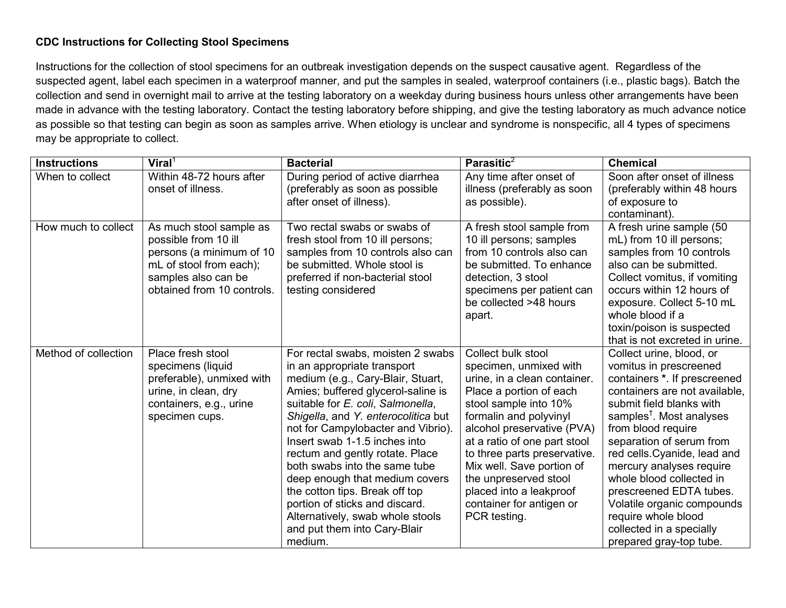## **CDC Instructions for Collecting Stool Specimens**

Instructions for the collection of stool specimens for an outbreak investigation depends on the suspect causative agent. Regardless of the suspected agent, label each specimen in a waterproof manner, and put the samples in sealed, waterproof containers (i.e., plastic bags). Batch the collection and send in overnight mail to arrive at the testing laboratory on a weekday during business hours unless other arrangements have been made in advance with the testing laboratory. Contact the testing laboratory before shipping, and give the testing laboratory as much advance notice as possible so that testing can begin as soon as samples arrive. When etiology is unclear and syndrome is nonspecific, all 4 types of specimens may be appropriate to collect.

| <b>Instructions</b>  | $V$ iral <sup>1</sup>      | <b>Bacterial</b>                                                    | Parasitic $2$                                             | <b>Chemical</b>                                          |
|----------------------|----------------------------|---------------------------------------------------------------------|-----------------------------------------------------------|----------------------------------------------------------|
| When to collect      | Within 48-72 hours after   | During period of active diarrhea                                    | Any time after onset of                                   | Soon after onset of illness                              |
|                      | onset of illness.          | (preferably as soon as possible                                     | illness (preferably as soon                               | (preferably within 48 hours                              |
|                      |                            | after onset of illness).                                            | as possible).                                             | of exposure to                                           |
|                      |                            |                                                                     |                                                           | contaminant).                                            |
| How much to collect  | As much stool sample as    | Two rectal swabs or swabs of                                        | A fresh stool sample from                                 | A fresh urine sample (50                                 |
|                      | possible from 10 ill       | fresh stool from 10 ill persons;                                    | 10 ill persons; samples                                   | mL) from 10 ill persons;                                 |
|                      | persons (a minimum of 10   | samples from 10 controls also can                                   | from 10 controls also can                                 | samples from 10 controls                                 |
|                      | mL of stool from each);    | be submitted. Whole stool is                                        | be submitted. To enhance                                  | also can be submitted.                                   |
|                      | samples also can be        | preferred if non-bacterial stool                                    | detection, 3 stool                                        | Collect vomitus, if vomiting                             |
|                      | obtained from 10 controls. | testing considered                                                  | specimens per patient can                                 | occurs within 12 hours of                                |
|                      |                            |                                                                     | be collected >48 hours                                    | exposure. Collect 5-10 mL                                |
|                      |                            |                                                                     | apart.                                                    | whole blood if a                                         |
|                      |                            |                                                                     |                                                           | toxin/poison is suspected                                |
|                      |                            |                                                                     |                                                           | that is not excreted in urine.                           |
| Method of collection | Place fresh stool          | For rectal swabs, moisten 2 swabs                                   | Collect bulk stool                                        | Collect urine, blood, or                                 |
|                      | specimens (liquid          | in an appropriate transport                                         | specimen, unmixed with                                    | vomitus in prescreened                                   |
|                      | preferable), unmixed with  | medium (e.g., Cary-Blair, Stuart,                                   | urine, in a clean container.                              | containers *. If prescreened                             |
|                      | urine, in clean, dry       | Amies; buffered glycerol-saline is                                  | Place a portion of each                                   | containers are not available.                            |
|                      | containers, e.g., urine    | suitable for E. coli, Salmonella,                                   | stool sample into 10%                                     | submit field blanks with                                 |
|                      | specimen cups.             | Shigella, and Y. enterocolitica but                                 | formalin and polyvinyl                                    | samples <sup>†</sup> . Most analyses                     |
|                      |                            | not for Campylobacter and Vibrio).<br>Insert swab 1-1.5 inches into | alcohol preservative (PVA)                                | from blood require                                       |
|                      |                            |                                                                     | at a ratio of one part stool                              | separation of serum from<br>red cells. Cyanide, lead and |
|                      |                            | rectum and gently rotate. Place<br>both swabs into the same tube    | to three parts preservative.<br>Mix well. Save portion of | mercury analyses require                                 |
|                      |                            | deep enough that medium covers                                      | the unpreserved stool                                     | whole blood collected in                                 |
|                      |                            | the cotton tips. Break off top                                      | placed into a leakproof                                   | prescreened EDTA tubes.                                  |
|                      |                            | portion of sticks and discard.                                      | container for antigen or                                  | Volatile organic compounds                               |
|                      |                            | Alternatively, swab whole stools                                    | PCR testing.                                              | require whole blood                                      |
|                      |                            | and put them into Cary-Blair                                        |                                                           | collected in a specially                                 |
|                      |                            | medium.                                                             |                                                           | prepared gray-top tube.                                  |